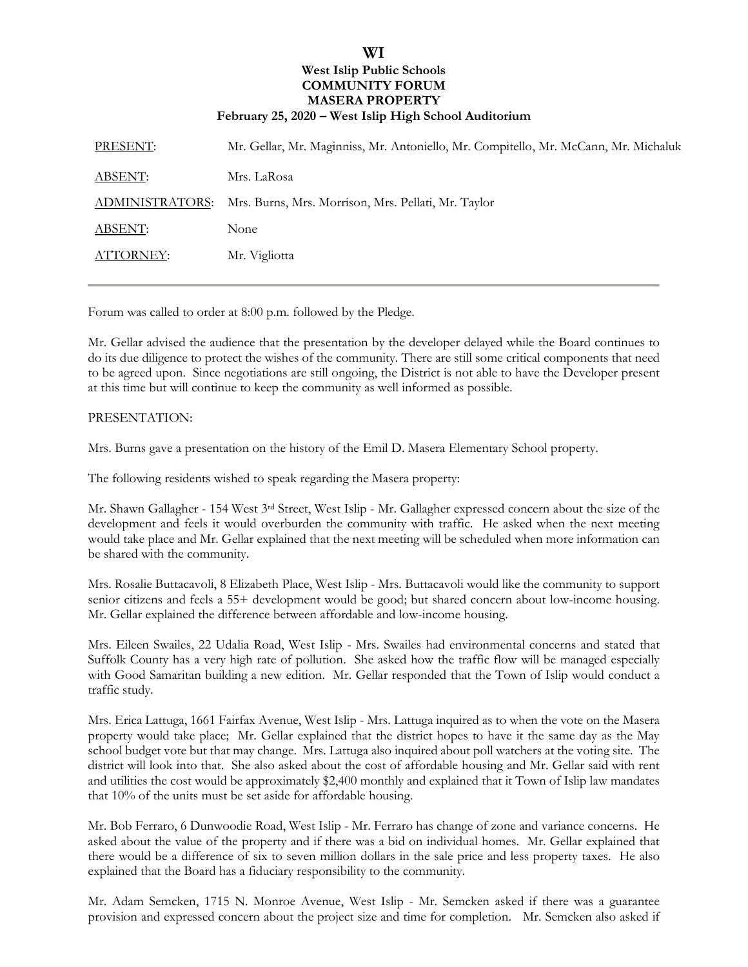## **WI West Islip Public Schools COMMUNITY FORUM MASERA PROPERTY February 25, 2020 – West Islip High School Auditorium**

| PRESENT:        | Mr. Gellar, Mr. Maginniss, Mr. Antoniello, Mr. Compitello, Mr. McCann, Mr. Michaluk |
|-----------------|-------------------------------------------------------------------------------------|
| ABSENT:         | Mrs. LaRosa                                                                         |
| ADMINISTRATORS: | Mrs. Burns, Mrs. Morrison, Mrs. Pellati, Mr. Taylor                                 |
| ABSENT:         | None                                                                                |
| ATTORNEY:       | Mr. Vigliotta                                                                       |

Forum was called to order at 8:00 p.m. followed by the Pledge.

Mr. Gellar advised the audience that the presentation by the developer delayed while the Board continues to do its due diligence to protect the wishes of the community. There are still some critical components that need to be agreed upon. Since negotiations are still ongoing, the District is not able to have the Developer present at this time but will continue to keep the community as well informed as possible.

## PRESENTATION:

Mrs. Burns gave a presentation on the history of the Emil D. Masera Elementary School property.

The following residents wished to speak regarding the Masera property:

Mr. Shawn Gallagher - 154 West 3rd Street, West Islip - Mr. Gallagher expressed concern about the size of the development and feels it would overburden the community with traffic. He asked when the next meeting would take place and Mr. Gellar explained that the next meeting will be scheduled when more information can be shared with the community.

Mrs. Rosalie Buttacavoli, 8 Elizabeth Place, West Islip - Mrs. Buttacavoli would like the community to support senior citizens and feels a 55+ development would be good; but shared concern about low-income housing. Mr. Gellar explained the difference between affordable and low-income housing.

Mrs. Eileen Swailes, 22 Udalia Road, West Islip - Mrs. Swailes had environmental concerns and stated that Suffolk County has a very high rate of pollution. She asked how the traffic flow will be managed especially with Good Samaritan building a new edition. Mr. Gellar responded that the Town of Islip would conduct a traffic study.

Mrs. Erica Lattuga, 1661 Fairfax Avenue, West Islip - Mrs. Lattuga inquired as to when the vote on the Masera property would take place; Mr. Gellar explained that the district hopes to have it the same day as the May school budget vote but that may change. Mrs. Lattuga also inquired about poll watchers at the voting site. The district will look into that. She also asked about the cost of affordable housing and Mr. Gellar said with rent and utilities the cost would be approximately \$2,400 monthly and explained that it Town of Islip law mandates that 10% of the units must be set aside for affordable housing.

Mr. Bob Ferraro, 6 Dunwoodie Road, West Islip - Mr. Ferraro has change of zone and variance concerns. He asked about the value of the property and if there was a bid on individual homes. Mr. Gellar explained that there would be a difference of six to seven million dollars in the sale price and less property taxes. He also explained that the Board has a fiduciary responsibility to the community.

Mr. Adam Semcken, 1715 N. Monroe Avenue, West Islip - Mr. Semcken asked if there was a guarantee provision and expressed concern about the project size and time for completion. Mr. Semcken also asked if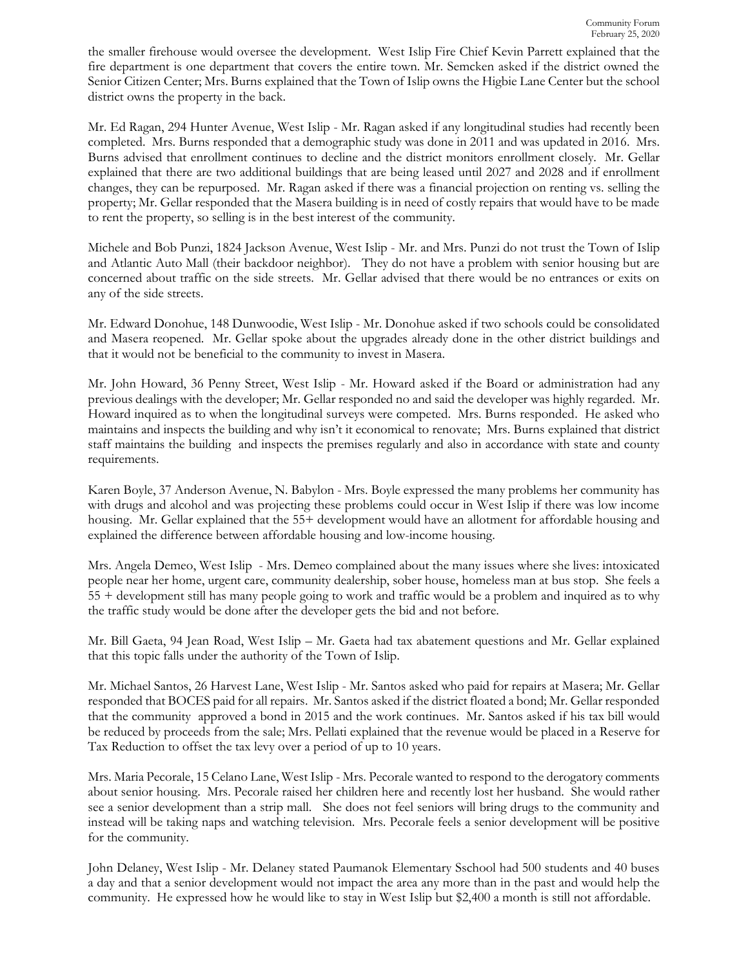the smaller firehouse would oversee the development. West Islip Fire Chief Kevin Parrett explained that the fire department is one department that covers the entire town. Mr. Semcken asked if the district owned the Senior Citizen Center; Mrs. Burns explained that the Town of Islip owns the Higbie Lane Center but the school district owns the property in the back.

Mr. Ed Ragan, 294 Hunter Avenue, West Islip - Mr. Ragan asked if any longitudinal studies had recently been completed. Mrs. Burns responded that a demographic study was done in 2011 and was updated in 2016. Mrs. Burns advised that enrollment continues to decline and the district monitors enrollment closely. Mr. Gellar explained that there are two additional buildings that are being leased until 2027 and 2028 and if enrollment changes, they can be repurposed. Mr. Ragan asked if there was a financial projection on renting vs. selling the property; Mr. Gellar responded that the Masera building is in need of costly repairs that would have to be made to rent the property, so selling is in the best interest of the community.

Michele and Bob Punzi, 1824 Jackson Avenue, West Islip - Mr. and Mrs. Punzi do not trust the Town of Islip and Atlantic Auto Mall (their backdoor neighbor). They do not have a problem with senior housing but are concerned about traffic on the side streets. Mr. Gellar advised that there would be no entrances or exits on any of the side streets.

Mr. Edward Donohue, 148 Dunwoodie, West Islip - Mr. Donohue asked if two schools could be consolidated and Masera reopened. Mr. Gellar spoke about the upgrades already done in the other district buildings and that it would not be beneficial to the community to invest in Masera.

Mr. John Howard, 36 Penny Street, West Islip - Mr. Howard asked if the Board or administration had any previous dealings with the developer; Mr. Gellar responded no and said the developer was highly regarded. Mr. Howard inquired as to when the longitudinal surveys were competed. Mrs. Burns responded. He asked who maintains and inspects the building and why isn't it economical to renovate; Mrs. Burns explained that district staff maintains the building and inspects the premises regularly and also in accordance with state and county requirements.

Karen Boyle, 37 Anderson Avenue, N. Babylon - Mrs. Boyle expressed the many problems her community has with drugs and alcohol and was projecting these problems could occur in West Islip if there was low income housing. Mr. Gellar explained that the 55+ development would have an allotment for affordable housing and explained the difference between affordable housing and low-income housing.

Mrs. Angela Demeo, West Islip - Mrs. Demeo complained about the many issues where she lives: intoxicated people near her home, urgent care, community dealership, sober house, homeless man at bus stop. She feels a 55 + development still has many people going to work and traffic would be a problem and inquired as to why the traffic study would be done after the developer gets the bid and not before.

Mr. Bill Gaeta, 94 Jean Road, West Islip – Mr. Gaeta had tax abatement questions and Mr. Gellar explained that this topic falls under the authority of the Town of Islip.

Mr. Michael Santos, 26 Harvest Lane, West Islip - Mr. Santos asked who paid for repairs at Masera; Mr. Gellar responded that BOCES paid for all repairs. Mr. Santos asked if the district floated a bond; Mr. Gellar responded that the community approved a bond in 2015 and the work continues. Mr. Santos asked if his tax bill would be reduced by proceeds from the sale; Mrs. Pellati explained that the revenue would be placed in a Reserve for Tax Reduction to offset the tax levy over a period of up to 10 years.

Mrs. Maria Pecorale, 15 Celano Lane, West Islip - Mrs. Pecorale wanted to respond to the derogatory comments about senior housing. Mrs. Pecorale raised her children here and recently lost her husband. She would rather see a senior development than a strip mall. She does not feel seniors will bring drugs to the community and instead will be taking naps and watching television. Mrs. Pecorale feels a senior development will be positive for the community.

John Delaney, West Islip - Mr. Delaney stated Paumanok Elementary Sschool had 500 students and 40 buses a day and that a senior development would not impact the area any more than in the past and would help the community. He expressed how he would like to stay in West Islip but \$2,400 a month is still not affordable.